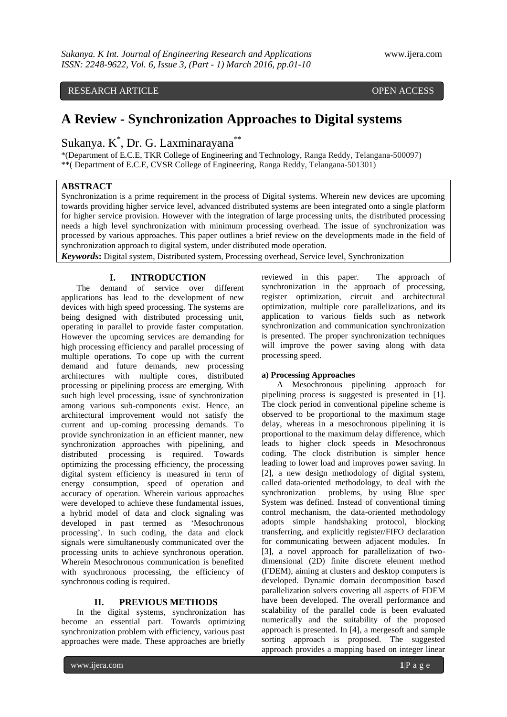# RESEARCH ARTICLE OPEN ACCESS

# **A Review - Synchronization Approaches to Digital systems**

Sukanya. K<sup>\*</sup>, Dr. G. Laxminarayana<sup>\*\*</sup>

\*(Department of E.C.E, TKR College of Engineering and Technology, Ranga Reddy, Telangana-500097) \*\*( Department of E.C.E, CVSR College of Engineering, Ranga Reddy, Telangana-501301)

### **ABSTRACT**

Synchronization is a prime requirement in the process of Digital systems. Wherein new devices are upcoming towards providing higher service level, advanced distributed systems are been integrated onto a single platform for higher service provision. However with the integration of large processing units, the distributed processing needs a high level synchronization with minimum processing overhead. The issue of synchronization was processed by various approaches. This paper outlines a brief review on the developments made in the field of synchronization approach to digital system, under distributed mode operation.

*Keywords***:** Digital system, Distributed system, Processing overhead, Service level, Synchronization

# **I. INTRODUCTION**

The demand of service over different applications has lead to the development of new devices with high speed processing. The systems are being designed with distributed processing unit, operating in parallel to provide faster computation. However the upcoming services are demanding for high processing efficiency and parallel processing of multiple operations. To cope up with the current demand and future demands, new processing architectures with multiple cores, distributed processing or pipelining process are emerging. With such high level processing, issue of synchronization among various sub-components exist. Hence, an architectural improvement would not satisfy the current and up-coming processing demands. To provide synchronization in an efficient manner, new synchronization approaches with pipelining, and distributed processing is required. Towards optimizing the processing efficiency, the processing digital system efficiency is measured in term of energy consumption, speed of operation and accuracy of operation. Wherein various approaches were developed to achieve these fundamental issues, a hybrid model of data and clock signaling was developed in past termed as 'Mesochronous' processing'. In such coding, the data and clock signals were simultaneously communicated over the processing units to achieve synchronous operation. Wherein Mesochronous communication is benefited with synchronous processing, the efficiency of synchronous coding is required.

#### **II. PREVIOUS METHODS**

In the digital systems, synchronization has become an essential part. Towards optimizing synchronization problem with efficiency, various past approaches were made. These approaches are briefly reviewed in this paper. The approach of synchronization in the approach of processing, register optimization, circuit and architectural optimization, multiple core parallelizations, and its application to various fields such as network synchronization and communication synchronization is presented. The proper synchronization techniques will improve the power saving along with data processing speed.

#### **a) Processing Approaches**

A Mesochronous pipelining approach for pipelining process is suggested is presented in [1]. The clock period in conventional pipeline scheme is observed to be proportional to the maximum stage delay, whereas in a mesochronous pipelining it is proportional to the maximum delay difference, which leads to higher clock speeds in Mesochronous coding. The clock distribution is simpler hence leading to lower load and improves power saving. In [2], a new design methodology of digital system, called data-oriented methodology, to deal with the synchronization problems, by using Blue spec System was defined. Instead of conventional timing control mechanism, the data-oriented methodology adopts simple handshaking protocol, blocking transferring, and explicitly register/FIFO declaration for communicating between adjacent modules. In [3], a novel approach for parallelization of twodimensional (2D) finite discrete element method (FDEM), aiming at clusters and desktop computers is developed. Dynamic domain decomposition based parallelization solvers covering all aspects of FDEM have been developed. The overall performance and scalability of the parallel code is been evaluated numerically and the suitability of the proposed approach is presented. In [4], a mergesoft and sample sorting approach is proposed. The suggested approach provides a mapping based on integer linear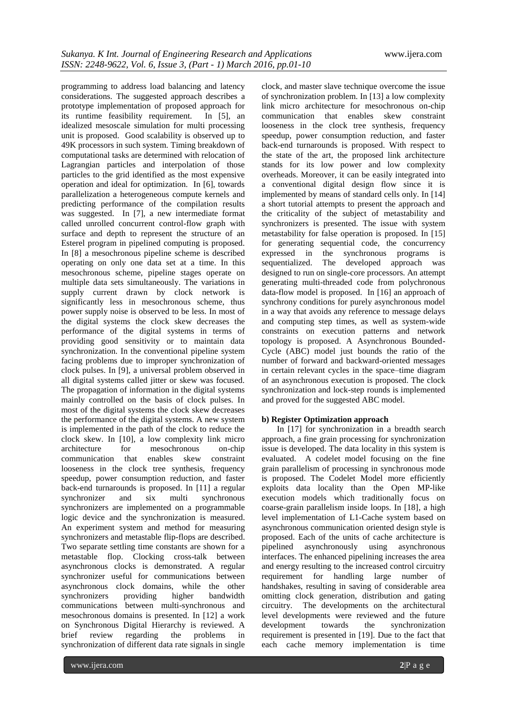programming to address load balancing and latency considerations. The suggested approach describes a prototype implementation of proposed approach for its runtime feasibility requirement. In [5], an idealized mesoscale simulation for multi processing unit is proposed. Good scalability is observed up to 49K processors in such system. Timing breakdown of computational tasks are determined with relocation of Lagrangian particles and interpolation of those particles to the grid identified as the most expensive operation and ideal for optimization. In [6], towards parallelization a heterogeneous compute kernels and predicting performance of the compilation results was suggested. In [7], a new intermediate format called unrolled concurrent control-flow graph with surface and depth to represent the structure of an Esterel program in pipelined computing is proposed. In [8] a mesochronous pipeline scheme is described operating on only one data set at a time. In this mesochronous scheme, pipeline stages operate on multiple data sets simultaneously. The variations in supply current drawn by clock network is significantly less in mesochronous scheme, thus power supply noise is observed to be less. In most of the digital systems the clock skew decreases the performance of the digital systems in terms of providing good sensitivity or to maintain data synchronization. In the conventional pipeline system facing problems due to improper synchronization of clock pulses. In [9], a universal problem observed in all digital systems called jitter or skew was focused. The propagation of information in the digital systems mainly controlled on the basis of clock pulses. In most of the digital systems the clock skew decreases the performance of the digital systems. A new system is implemented in the path of the clock to reduce the clock skew. In [10], a low complexity link micro architecture for mesochronous on-chip communication that enables skew constraint looseness in the clock tree synthesis, frequency speedup, power consumption reduction, and faster back-end turnarounds is proposed. In [11] a regular synchronizer and six multi synchronous synchronizers are implemented on a programmable logic device and the synchronization is measured. An experiment system and method for measuring synchronizers and metastable flip-flops are described. Two separate settling time constants are shown for a metastable flop. Clocking cross-talk between asynchronous clocks is demonstrated. A regular synchronizer useful for communications between asynchronous clock domains, while the other<br>synchronizers providing higher bandwidth synchronizers providing higher communications between multi-synchronous and mesochronous domains is presented. In [12] a work on Synchronous Digital Hierarchy is reviewed. A brief review regarding the problems in synchronization of different data rate signals in single

clock, and master slave technique overcome the issue of synchronization problem. In [13] a low complexity link micro architecture for mesochronous on-chip communication that enables skew constraint looseness in the clock tree synthesis, frequency speedup, power consumption reduction, and faster back-end turnarounds is proposed. With respect to the state of the art, the proposed link architecture stands for its low power and low complexity overheads. Moreover, it can be easily integrated into a conventional digital design flow since it is implemented by means of standard cells only. In [14] a short tutorial attempts to present the approach and the criticality of the subject of metastability and synchronizers is presented. The issue with system metastability for false operation is proposed. In [15] for generating sequential code, the concurrency expressed in the synchronous programs is sequentialized. The developed approach was designed to run on single-core processors. An attempt generating multi-threaded code from polychronous data-flow model is proposed. In [16] an approach of synchrony conditions for purely asynchronous model in a way that avoids any reference to message delays and computing step times, as well as system-wide constraints on execution patterns and network topology is proposed. A Asynchronous Bounded-Cycle (ABC) model just bounds the ratio of the number of forward and backward-oriented messages in certain relevant cycles in the space–time diagram of an asynchronous execution is proposed. The clock synchronization and lock-step rounds is implemented and proved for the suggested ABC model.

#### **b) Register Optimization approach**

In [17] for synchronization in a breadth search approach, a fine grain processing for synchronization issue is developed. The data locality in this system is evaluated. A codelet model focusing on the fine grain parallelism of processing in synchronous mode is proposed. The Codelet Model more efficiently exploits data locality than the Open MP-like execution models which traditionally focus on coarse-grain parallelism inside loops. In [18], a high level implementation of L1-Cache system based on asynchronous communication oriented design style is proposed. Each of the units of cache architecture is pipelined asynchronously using asynchronous interfaces. The enhanced pipelining increases the area and energy resulting to the increased control circuitry requirement for handling large number of handshakes, resulting in saving of considerable area omitting clock generation, distribution and gating circuitry. The developments on the architectural level developments were reviewed and the future development towards the synchronization requirement is presented in [19]. Due to the fact that each cache memory implementation is time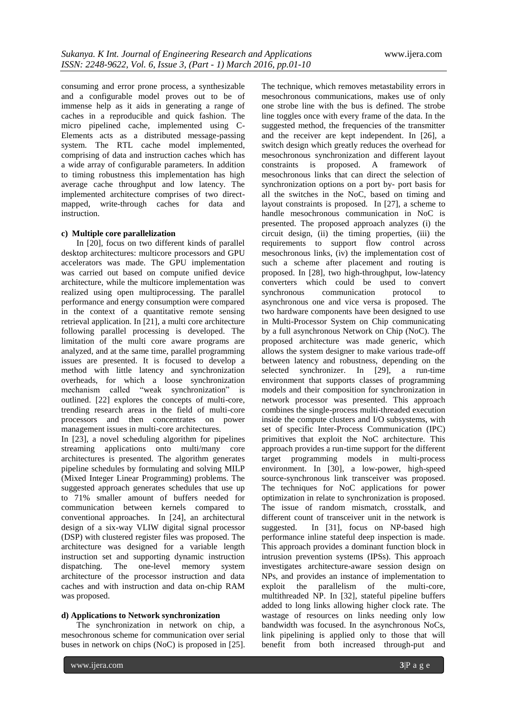consuming and error prone process, a synthesizable and a configurable model proves out to be of immense help as it aids in generating a range of caches in a reproducible and quick fashion. The micro pipelined cache, implemented using C-Elements acts as a distributed message-passing system. The RTL cache model implemented, comprising of data and instruction caches which has a wide array of configurable parameters. In addition to timing robustness this implementation has high average cache throughput and low latency. The implemented architecture comprises of two directmapped, write-through caches for data and instruction.

#### **c) Multiple core parallelization**

In [20], focus on two different kinds of parallel desktop architectures: multicore processors and GPU accelerators was made. The GPU implementation was carried out based on compute unified device architecture, while the multicore implementation was realized using open multiprocessing. The parallel performance and energy consumption were compared in the context of a quantitative remote sensing retrieval application. In [21], a multi core architecture following parallel processing is developed. The limitation of the multi core aware programs are analyzed, and at the same time, parallel programming issues are presented. It is focused to develop a method with little latency and synchronization overheads, for which a loose synchronization mechanism called "weak synchronization" is outlined. [22] explores the concepts of multi-core, trending research areas in the field of multi-core processors and then concentrates on power management issues in multi-core architectures.

In [23], a novel scheduling algorithm for pipelines streaming applications onto multi/many core architectures is presented. The algorithm generates pipeline schedules by formulating and solving MILP (Mixed Integer Linear Programming) problems. The suggested approach generates schedules that use up to 71% smaller amount of buffers needed for communication between kernels compared to conventional approaches. In [24], an architectural design of a six-way VLIW digital signal processor (DSP) with clustered register files was proposed. The architecture was designed for a variable length instruction set and supporting dynamic instruction dispatching. The one-level memory system architecture of the processor instruction and data caches and with instruction and data on-chip RAM was proposed.

# **d) Applications to Network synchronization**

The synchronization in network on chip, a mesochronous scheme for communication over serial buses in network on chips (NoC) is proposed in [25].

The technique, which removes metastability errors in mesochronous communications, makes use of only one strobe line with the bus is defined. The strobe line toggles once with every frame of the data. In the suggested method, the frequencies of the transmitter and the receiver are kept independent. In [26], a switch design which greatly reduces the overhead for mesochronous synchronization and different layout constraints is proposed. A framework of mesochronous links that can direct the selection of synchronization options on a port by- port basis for all the switches in the NoC, based on timing and layout constraints is proposed. In [27], a scheme to handle mesochronous communication in NoC is presented. The proposed approach analyzes (i) the circuit design, (ii) the timing properties, (iii) the requirements to support flow control across mesochronous links, (iv) the implementation cost of such a scheme after placement and routing is proposed. In [28], two high-throughput, low-latency converters which could be used to convert synchronous communication protocol to asynchronous one and vice versa is proposed. The two hardware components have been designed to use in Multi-Processor System on Chip communicating by a full asynchronous Network on Chip (NoC). The proposed architecture was made generic, which allows the system designer to make various trade-off between latency and robustness, depending on the selected synchronizer. In [29], a run-time environment that supports classes of programming models and their composition for synchronization in network processor was presented. This approach combines the single-process multi-threaded execution inside the compute clusters and I/O subsystems, with set of specific Inter-Process Communication (IPC) primitives that exploit the NoC architecture. This approach provides a run-time support for the different target programming models in multi-process environment. In [30], a low-power, high-speed source-synchronous link transceiver was proposed. The techniques for NoC applications for power optimization in relate to synchronization is proposed. The issue of random mismatch, crosstalk, and different count of transceiver unit in the network is suggested. In [31], focus on NP-based high performance inline stateful deep inspection is made. This approach provides a dominant function block in intrusion prevention systems (IPSs). This approach investigates architecture-aware session design on NPs, and provides an instance of implementation to exploit the parallelism of the multi-core, multithreaded NP. In [32], stateful pipeline buffers added to long links allowing higher clock rate. The wastage of resources on links needing only low bandwidth was focused. In the asynchronous NoCs, link pipelining is applied only to those that will benefit from both increased through-put and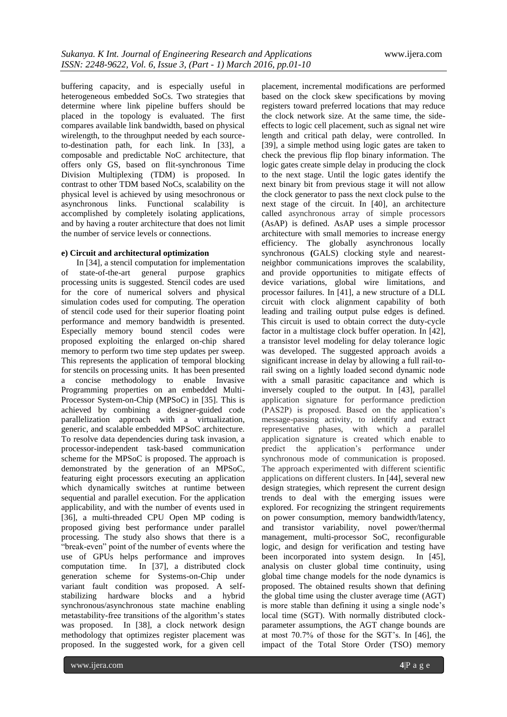buffering capacity, and is especially useful in heterogeneous embedded SoCs. Two strategies that determine where link pipeline buffers should be placed in the topology is evaluated. The first compares available link bandwidth, based on physical wirelength, to the throughput needed by each sourceto-destination path, for each link. In [33], a composable and predictable NoC architecture, that offers only GS, based on flit-synchronous Time Division Multiplexing (TDM) is proposed. In contrast to other TDM based NoCs, scalability on the physical level is achieved by using mesochronous or asynchronous links. Functional scalability is accomplished by completely isolating applications, and by having a router architecture that does not limit the number of service levels or connections.

### **e) Circuit and architectural optimization**

In [34], a stencil computation for implementation of state-of-the-art general purpose graphics processing units is suggested. Stencil codes are used for the core of numerical solvers and physical simulation codes used for computing. The operation of stencil code used for their superior floating point performance and memory bandwidth is presented. Especially memory bound stencil codes were proposed exploiting the enlarged on-chip shared memory to perform two time step updates per sweep. This represents the application of temporal blocking for stencils on processing units. It has been presented a concise methodology to enable Invasive Programming properties on an embedded Multi-Processor System-on-Chip (MPSoC) in [35]. This is achieved by combining a designer-guided code parallelization approach with a virtualization, generic, and scalable embedded MPSoC architecture. To resolve data dependencies during task invasion, a processor-independent task-based communication scheme for the MPSoC is proposed. The approach is demonstrated by the generation of an MPSoC, featuring eight processors executing an application which dynamically switches at runtime between sequential and parallel execution. For the application applicability, and with the number of events used in [36], a multi-threaded CPU Open MP coding is proposed giving best performance under parallel processing. The study also shows that there is a "break-even" point of the number of events where the use of GPUs helps performance and improves computation time. In [37], a distributed clock generation scheme for Systems-on-Chip under variant fault condition was proposed. A selfstabilizing hardware blocks and a hybrid synchronous/asynchronous state machine enabling metastability-free transitions of the algorithm's states was proposed. In [38], a clock network design methodology that optimizes register placement was proposed. In the suggested work, for a given cell

www.ijera.com **4**|P a g e

placement, incremental modifications are performed based on the clock skew specifications by moving registers toward preferred locations that may reduce the clock network size. At the same time, the sideeffects to logic cell placement, such as signal net wire length and critical path delay, were controlled. In [39], a simple method using logic gates are taken to check the previous flip flop binary information. The logic gates create simple delay in producing the clock to the next stage. Until the logic gates identify the next binary bit from previous stage it will not allow the clock generator to pass the next clock pulse to the next stage of the circuit. In [40], an architecture called asynchronous array of simple processors (AsAP) is defined. AsAP uses a simple processor architecture with small memories to increase energy efficiency. The globally asynchronous locally synchronous **(**GALS) clocking style and nearestneighbor communications improves the scalability, and provide opportunities to mitigate effects of device variations, global wire limitations, and processor failures. In [41], a new structure of a DLL circuit with clock alignment capability of both leading and trailing output pulse edges is defined. This circuit is used to obtain correct the duty-cycle factor in a multistage clock buffer operation. In [42], a transistor level modeling for delay tolerance logic was developed. The suggested approach avoids a significant increase in delay by allowing a full rail-torail swing on a lightly loaded second dynamic node with a small parasitic capacitance and which is inversely coupled to the output. In [43], parallel application signature for performance prediction (PAS2P) is proposed. Based on the application's message-passing activity, to identify and extract representative phases, with which a parallel application signature is created which enable to predict the application's performance under synchronous mode of communication is proposed. The approach experimented with different scientific applications on different clusters. In [44], several new design strategies, which represent the current design trends to deal with the emerging issues were explored. For recognizing the stringent requirements on power consumption, memory bandwidth/latency, and transistor variability, novel power/thermal management, multi-processor SoC, reconfigurable logic, and design for verification and testing have been incorporated into system design. In [45], analysis on cluster global time continuity, using global time change models for the node dynamics is proposed. The obtained results shown that defining the global time using the cluster average time (AGT) is more stable than defining it using a single node's local time (SGT). With normally distributed clockparameter assumptions, the AGT change bounds are at most 70.7% of those for the SGT's. In [46], the impact of the Total Store Order (TSO) memory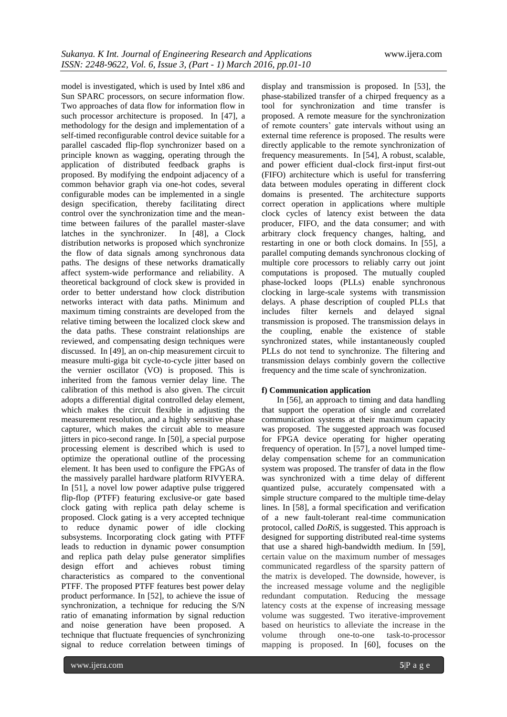model is investigated, which is used by Intel x86 and Sun SPARC processors, on secure information flow. Two approaches of data flow for information flow in such processor architecture is proposed. In [47], a methodology for the design and implementation of a self-timed reconfigurable control device suitable for a parallel cascaded flip-flop synchronizer based on a principle known as wagging, operating through the application of distributed feedback graphs is proposed. By modifying the endpoint adjacency of a common behavior graph via one-hot codes, several configurable modes can be implemented in a single design specification, thereby facilitating direct control over the synchronization time and the meantime between failures of the parallel master-slave latches in the synchronizer. In [48], a Clock distribution networks is proposed which synchronize the flow of data signals among synchronous data paths. The designs of these networks dramatically affect system-wide performance and reliability. A theoretical background of clock skew is provided in order to better understand how clock distribution networks interact with data paths. Minimum and maximum timing constraints are developed from the relative timing between the localized clock skew and the data paths. These constraint relationships are reviewed, and compensating design techniques were discussed. In [49], an on-chip measurement circuit to measure multi-giga bit cycle-to-cycle jitter based on the vernier oscillator (VO) is proposed. This is inherited from the famous vernier delay line. The calibration of this method is also given. The circuit adopts a differential digital controlled delay element, which makes the circuit flexible in adjusting the measurement resolution, and a highly sensitive phase capturer, which makes the circuit able to measure jitters in pico-second range. In [50], a special purpose processing element is described which is used to optimize the operational outline of the processing element. It has been used to configure the FPGAs of the massively parallel hardware platform RIVYERA. In [51], a novel low power adaptive pulse triggered flip-flop (PTFF) featuring exclusive-or gate based clock gating with replica path delay scheme is proposed. Clock gating is a very accepted technique to reduce dynamic power of idle clocking subsystems. Incorporating clock gating with PTFF leads to reduction in dynamic power consumption and replica path delay pulse generator simplifies design effort and achieves robust timing characteristics as compared to the conventional PTFF. The proposed PTFF features best power delay product performance. In [52], to achieve the issue of synchronization, a technique for reducing the S/N ratio of emanating information by signal reduction and noise generation have been proposed. A technique that fluctuate frequencies of synchronizing signal to reduce correlation between timings of

display and transmission is proposed. In [53], the phase-stabilized transfer of a chirped frequency as a tool for synchronization and time transfer is proposed. A remote measure for the synchronization of remote counters' gate intervals without using an external time reference is proposed. The results were directly applicable to the remote synchronization of frequency measurements. In [54], A robust, scalable, and power efficient dual-clock first-input first-out (FIFO) architecture which is useful for transferring data between modules operating in different clock domains is presented. The architecture supports correct operation in applications where multiple clock cycles of latency exist between the data producer, FIFO, and the data consumer; and with arbitrary clock frequency changes, halting, and restarting in one or both clock domains. In [55], a parallel computing demands synchronous clocking of multiple core processors to reliably carry out joint computations is proposed. The mutually coupled phase-locked loops (PLLs) enable synchronous clocking in large-scale systems with transmission delays. A phase description of coupled PLLs that includes filter kernels and delayed signal transmission is proposed. The transmission delays in the coupling, enable the existence of stable synchronized states, while instantaneously coupled PLLs do not tend to synchronize. The filtering and transmission delays combinly govern the collective frequency and the time scale of synchronization.

#### **f) Communication application**

In [56], an approach to timing and data handling that support the operation of single and correlated communication systems at their maximum capacity was proposed. The suggested approach was focused for FPGA device operating for higher operating frequency of operation. In [57], a novel lumped timedelay compensation scheme for an communication system was proposed. The transfer of data in the flow was synchronized with a time delay of different quantized pulse, accurately compensated with a simple structure compared to the multiple time-delay lines. In [58], a formal specification and verification of a new fault-tolerant real-time communication protocol, called *DoRiS*, is suggested. This approach is designed for supporting distributed real-time systems that use a shared high-bandwidth medium. In [59], certain value on the maximum number of messages communicated regardless of the sparsity pattern of the matrix is developed. The downside, however, is the increased message volume and the negligible redundant computation. Reducing the message latency costs at the expense of increasing message volume was suggested. Two iterative-improvement based on heuristics to alleviate the increase in the volume through one-to-one task-to-processor mapping is proposed. In [60], focuses on the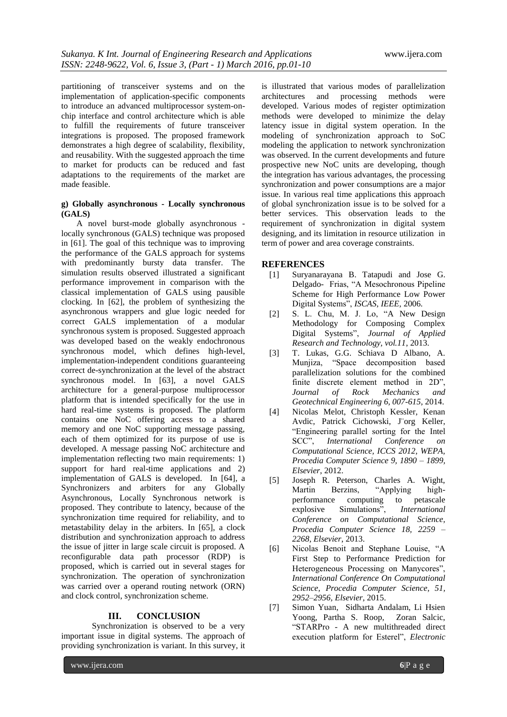partitioning of transceiver systems and on the implementation of application-specific components to introduce an advanced multiprocessor system-onchip interface and control architecture which is able to fulfill the requirements of future transceiver integrations is proposed. The proposed framework demonstrates a high degree of scalability, flexibility, and reusability. With the suggested approach the time to market for products can be reduced and fast adaptations to the requirements of the market are made feasible.

# **g) Globally asynchronous - Locally synchronous (GALS)**

A novel burst-mode globally asynchronous locally synchronous (GALS) technique was proposed in [61]. The goal of this technique was to improving the performance of the GALS approach for systems with predominantly bursty data transfer. The simulation results observed illustrated a significant performance improvement in comparison with the classical implementation of GALS using pausible clocking. In [62], the problem of synthesizing the asynchronous wrappers and glue logic needed for correct GALS implementation of a modular synchronous system is proposed. Suggested approach was developed based on the weakly endochronous synchronous model, which defines high-level, implementation-independent conditions guaranteeing correct de-synchronization at the level of the abstract synchronous model. In [63], a novel GALS architecture for a general-purpose multiprocessor platform that is intended specifically for the use in hard real-time systems is proposed. The platform contains one NoC offering access to a shared memory and one NoC supporting message passing, each of them optimized for its purpose of use is developed. A message passing NoC architecture and implementation reflecting two main requirements: 1) support for hard real-time applications and 2) implementation of GALS is developed. In [64], a Synchronizers and arbiters for any Globally Asynchronous, Locally Synchronous network is proposed. They contribute to latency, because of the synchronization time required for reliability, and to metastability delay in the arbiters. In [65], a clock distribution and synchronization approach to address the issue of jitter in large scale circuit is proposed. A reconfigurable data path processor (RDP) is proposed, which is carried out in several stages for synchronization. The operation of synchronization was carried over a operand routing network (ORN) and clock control, synchronization scheme.

# **III. CONCLUSION**

Synchronization is observed to be a very important issue in digital systems. The approach of providing synchronization is variant. In this survey, it is illustrated that various modes of parallelization architectures and processing methods were developed. Various modes of register optimization methods were developed to minimize the delay latency issue in digital system operation. In the modeling of synchronization approach to SoC modeling the application to network synchronization was observed. In the current developments and future prospective new NoC units are developing, though the integration has various advantages, the processing synchronization and power consumptions are a major issue. In various real time applications this approach of global synchronization issue is to be solved for a better services. This observation leads to the requirement of synchronization in digital system designing, and its limitation in resource utilization in term of power and area coverage constraints.

# **REFERENCES**

- [1] Suryanarayana B. Tatapudi and Jose G. Delgado- Frias, "A Mesochronous Pipeline Scheme for High Performance Low Power Digital Systems", *ISCAS*, *IEEE*, 2006.
- $[2]$  S. L. Chu, M. J. Lo, "A New Design Methodology for Composing Complex Digital Systems‖, *Journal of Applied Research and Technology, vol.11*, 2013.
- [3] T. Lukas, G.G. Schiava D Albano, A. Munjiza, "Space decomposition based parallelization solutions for the combined finite discrete element method in 2D", *Journal of Rock Mechanics and Geotechnical Engineering 6, 007-615*, 2014.
- [4] Nicolas Melot, Christoph Kessler, Kenan Avdic, Patrick Cichowski, J¨org Keller, ―Engineering parallel sorting for the Intel SCC‖, *International Conference on Computational Science, ICCS 2012, WEPA, Procedia Computer Science 9, 1890 – 1899, Elsevier*, 2012.
- [5] Joseph R. Peterson, Charles A. Wight, Martin Berzins, "Applying highperformance computing to petascale explosive Simulations‖, *International Conference on Computational Science, Procedia Computer Science 18, 2259 – 2268, Elsevier*, 2013.
- [6] Nicolas Benoit and Stephane Louise, "A First Step to Performance Prediction for Heterogeneous Processing on Manycores", *International Conference On Computational Science, Procedia Computer Science, 51, 2952–2956, Elsevier*, 2015.
- [7] Simon Yuan, Sidharta Andalam, Li Hsien Yoong, Partha S. Roop, Zoran Salcic, ―STARPro - A new multithreaded direct execution platform for Esterel", *Electronic*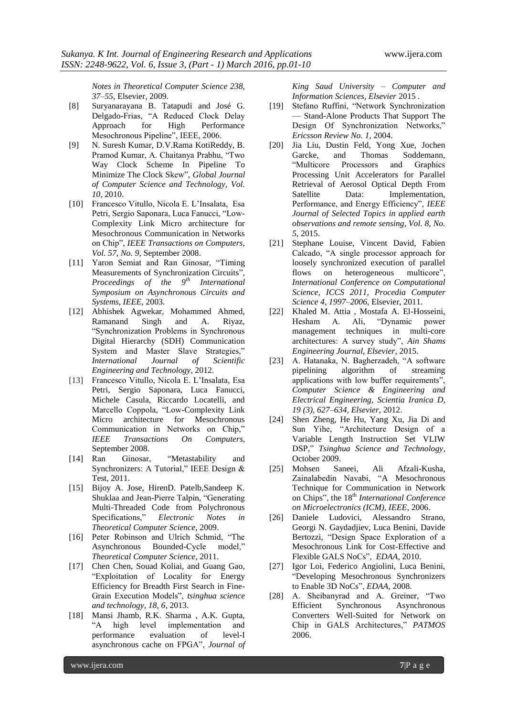*Notes in Theoretical Computer Science 238, 37–55*, Elsevier, 2009.

- [8] Suryanarayana B. Tatapudi and José G. Delgado-Frias, "A Reduced Clock Delay Approach for High Performance Mesochronous Pipeline", IEEE, 2006.
- [9] N. Suresh Kumar, D.V.Rama KotiReddy, B. Pramod Kumar, A. Chaitanya Prabhu, "Two Way Clock Scheme In Pipeline To Minimize The Clock Skew‖, *Global Journal of Computer Science and Technology, Vol. 10*, 2010.
- [10] Francesco Vitullo, Nicola E. L'Insalata, Esa Petri, Sergio Saponara, Luca Fanucci, "Low-Complexity Link Micro architecture for Mesochronous Communication in Networks on Chip", *IEEE Transactions on Computers*, *Vol. 57, No. 9*, September 2008.
- [11] Yaron Semiat and Ran Ginosar, "Timing" Measurements of Synchronization Circuits", *Proceedings of the 9th International Symposium on Asynchronous Circuits and Systems, IEEE*, 2003.
- [12] Abhishek Agwekar, Mohammed Ahmed, Ramanand Singh and A. Riyaz, ―Synchronization Problems in Synchronous Digital Hierarchy (SDH) Communication System and Master Slave Strategies," *International Journal of Scientific Engineering and Technology*, 2012.
- [13] Francesco Vitullo, Nicola E. L'Insalata, Esa Petri, Sergio Saponara, Luca Fanucci, Michele Casula, Riccardo Locatelli, and Marcello Coppola, "Low-Complexity Link Micro architecture for Mesochronous Communication in Networks on Chip," *IEEE Transactions On Computers*, September 2008.
- [14] Ran Ginosar, "Metastability and Synchronizers: A Tutorial," IEEE Design & Test, 2011.
- [15] Bijoy A. Jose, HirenD. Patelb,Sandeep K. Shuklaa and Jean-Pierre Talpin, "Generating Multi-Threaded Code from Polychronous Specifications,‖ *Electronic Notes in Theoretical Computer Science*, 2009.
- [16] Peter Robinson and Ulrich Schmid, "The Asynchronous Bounded-Cycle model," *Theoretical Computer Science*, 2011.
- [17] Chen Chen, Souad Koliai, and Guang Gao, ―Exploitation of Locality for Energy Efficiency for Breadth First Search in Fine-Grain Execution Models", *tsinghua science and technology, 18, 6*, 2013.
- [18] Mansi Jhamb, R.K. Sharma , A.K. Gupta, ―A high level implementation and performance evaluation of level-I asynchronous cache on FPGA", *Journal of*

*King Saud University – Computer and Information Sciences, Elsevier* 2015 .

- [19] Stefano Ruffini, "Network Synchronization — Stand-Alone Products That Support The Design Of Synchronization Networks," *Ericsson Review No. 1*, 2004.
- [20] Jia Liu, Dustin Feld, Yong Xue, Jochen Garcke, and Thomas Soddemann, ―Multicore Processors and Graphics Processing Unit Accelerators for Parallel Retrieval of Aerosol Optical Depth From Satellite Data: Implementation, Performance, and Energy Efficiency", *IEEE Journal of Selected Topics in applied earth observations and remote sensing, Vol. 8, No. 5*, 2015.
- [21] Stephane Louise, Vincent David, Fabien Calcado, "A single processor approach for loosely synchronized execution of parallel flows on heterogeneous multicore", *International Conference on Computational Science, ICCS 2011, Procedia Computer Science 4, 1997–2006*, Elsevier, 2011.
- [22] Khaled M. Attia , Mostafa A. El-Hosseini, Hesham A. Ali, "Dynamic power management techniques in multi-core architectures: A survey study", *Ain Shams Engineering Journal, Elsevier*, 2015.
- [23] A. Hatanaka, N. Bagherzadeh, "A software pipelining algorithm of streaming applications with low buffer requirements", *Computer Science & Engineering and Electrical Engineering, Scientia Iranica D, 19 (3), 627–634, Elsevier*, 2012.
- [24] Shen Zheng, He Hu, Yang Xu, Jia Di and Sun Yihe, "Architecture Design of a Variable Length Instruction Set VLIW DSP,‖ *Tsinghua Science and Technology*, October 2009.
- [25] Mohsen Saneei, Ali Afzali-Kusha, Zainalabedin Navabi, "A Mesochronous Technique for Communication in Network on Chips", the 18<sup>th</sup> *International Conference on Microelectronics (ICM), IEEE*, 2006.
- [26] Daniele Ludovici, Alessandro Strano, Georgi N. Gaydadjiev, Luca Benini, Davide Bertozzi, "Design Space Exploration of a Mesochronous Link for Cost-Effective and Flexible GALS NoCs", *EDAA*, 2010.
- [27] Igor Loi, Federico Angiolini, Luca Benini, ―Developing Mesochronous Synchronizers to Enable 3D NoCs", *EDAA*, 2008.
- [28] A. Sheibanyrad and A. Greiner, "Two Efficient Synchronous Asynchronous Converters Well-Suited for Network on Chip in GALS Architectures," PATMOS 2006.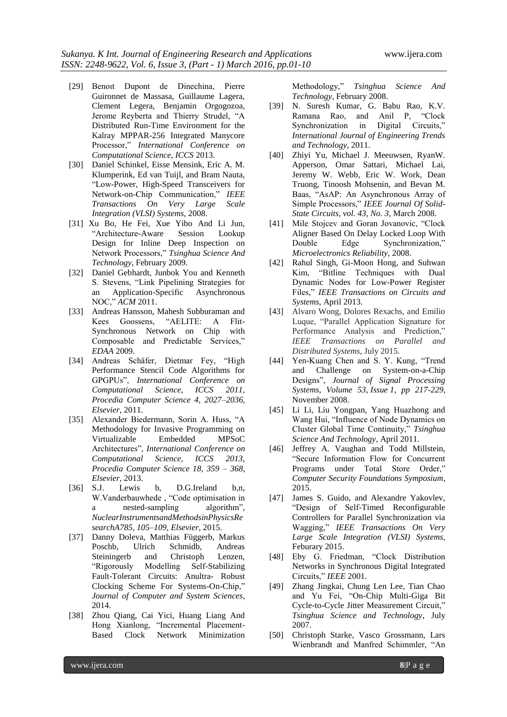- [29] Benoıt Dupont de Dinechina, Pierre Guironnet de Massasa, Guillaume Lagera, Clement Legera, Benjamin Orgogozoa, Jerome Reyberta and Thierry Strudel, "A Distributed Run-Time Environment for the Kalray MPPAR-256 Integrated Manycore Processor," *International Conference on Computational Science, ICCS* 2013.
- [30] Daniel Schinkel, Eisse Mensink, Eric A. M. Klumperink, Ed van Tuijl, and Bram Nauta, ―Low-Power, High-Speed Transceivers for Network-on-Chip Communication," IEEE *Transactions On Very Large Scale Integration (VLSI) Systems*, 2008.
- [31] Xu Bo, He Fei, Xue Yibo And Li Jun, ―Architecture-Aware Session Lookup Design for Inline Deep Inspection on Network Processors," Tsinghua Science And *Technology*, February 2009.
- [32] Daniel Gebhardt, Junbok You and Kenneth S. Stevens, "Link Pipelining Strategies for an Application-Specific Asynchronous NOC,"  $ACM$  2011.
- [33] Andreas Hansson, Mahesh Subburaman and Kees Goossens, "AELITE: A Flit-Synchronous Network on Chip with Composable and Predictable Services," *EDAA* 2009.
- [34] Andreas Schäfer, Dietmar Fey, "High Performance Stencil Code Algorithms for GPGPUs‖, *International Conference on Computational Science, ICCS 2011, Procedia Computer Science 4, 2027–2036, Elsevier*, 2011.
- [35] Alexander Biedermann, Sorin A. Huss, "A Methodology for Invasive Programming on Virtualizable Embedded MPSoC Architectures‖, *International Conference on Computational Science, ICCS 2013, Procedia Computer Science 18, 359 – 368, Elsevier*, 2013.
- [36] S.J. Lewis b, D.G.Ireland b,n, W.Vanderbauwhede, "Code optimisation in a nested-sampling algorithm<sup>"</sup>, *NuclearInstrumentsandMethodsinPhysicsRe searchA785, 105–109, Elsevier*, 2015.
- [37] Danny Doleva, Matthias Függerb, Markus Poschb, Ulrich Schmidb, Andreas Steiningerb and Christoph Lenzen, ―Rigorously Modelling Self-Stabilizing Fault-Tolerant Circuits: Anultra- Robust Clocking Scheme For Systems-On-Chip," *Journal of Computer and System Sciences*, 2014.
- [38] Zhou Qiang, Cai Yici, Huang Liang And Hong Xianlong, "Incremental Placement-Based Clock Network Minimization

Methodology,‖ *Tsinghua Science And Technology*, February 2008.

- [39] N. Suresh Kumar, G. Babu Rao, K.V. Ramana Rao, and Anil P, "Clock Synchronization in Digital Circuits," *International Journal of Engineering Trends and Technology*, 2011.
- [40] Zhiyi Yu, Michael J. Meeuwsen, RyanW. Apperson, Omar Sattari, Michael Lai, Jeremy W. Webb, Eric W. Work, Dean Truong, Tinoosh Mohsenin, and Bevan M. Baas, "AsAP: An Asynchronous Array of Simple Processors," IEEE Journal Of Solid-*State Circuits, vol. 43, No. 3*, March 2008.
- [41] Mile Stojcev and Goran Jovanovic, "Clock" Aligner Based On Delay Locked Loop With Double Edge Synchronization," *Microelectronics Reliability*, 2008.
- [42] Rahul Singh, Gi-Moon Hong, and Suhwan Kim, "Bitline Techniques with Dual Dynamic Nodes for Low-Power Register Files,‖ *IEEE Transactions on Circuits and Systems*, April 2013.
- [43] Alvaro Wong, Dolores Rexachs, and Emilio Luque, "Parallel Application Signature for Performance Analysis and Prediction," *IEEE Transactions on Parallel and Distributed Systems*, July 2015.
- [44] Yen-Kuang Chen and S. Y. Kung, "Trend and Challenge on System-on-a-Chip Designs‖, *Journal of Signal Processing Systems, Volume 53, Issue 1, pp 217-229*, November 2008.
- [45] Li Li, Liu Yongpan, Yang Huazhong and Wang Hui, "Influence of Node Dynamics on Cluster Global Time Continuity," Tsinghua *Science And Technology*, April 2011.
- [46] Jeffrey A. Vaughan and Todd Millstein, ―Secure Information Flow for Concurrent Programs under Total Store Order," *Computer Security Foundations Symposium*, 2015.
- [47] James S. Guido, and Alexandre Yakovlev, ―Design of Self-Timed Reconfigurable Controllers for Parallel Synchronization via Wagging,‖ *IEEE Transactions On Very Large Scale Integration (VLSI) Systems*, Feburary 2015.
- [48] Eby G. Friedman, "Clock Distribution Networks in Synchronous Digital Integrated Circuits,‖ *IEEE* 2001.
- [49] Zhang Jingkai, Chung Len Lee, Tian Chao and Yu Fei, "On-Chip Multi-Giga Bit Cycle-to-Cycle Jitter Measurement Circuit," *Tsinghua Science and Technology*, July 2007.
- [50] Christoph Starke, Vasco Grossmann, Lars Wienbrandt and Manfred Schimmler, "An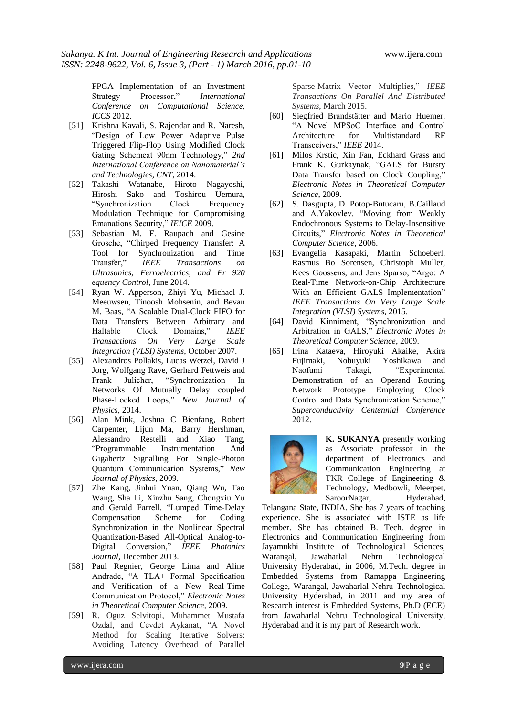FPGA Implementation of an Investment Strategy Processor," *International Conference on Computational Science, ICCS* 2012.

- [51] Krishna Kavali, S. Rajendar and R. Naresh, ―Design of Low Power Adaptive Pulse Triggered Flip-Flop Using Modified Clock Gating Schemeat 90nm Technology," 2nd *International Conference on Nanomaterial's and Technologies, CNT*, 2014.
- [52] Takashi Watanabe, Hiroto Nagayoshi, Hiroshi Sako and Toshirou Uemura, ―Synchronization Clock Frequency Modulation Technique for Compromising Emanations Security," *IEICE* 2009.
- [53] Sebastian M. F. Raupach and Gesine Grosche, "Chirped Frequency Transfer: A Tool for Synchronization and Time Transfer,‖ *IEEE Transactions on Ultrasonics, Ferroelectrics, and Fr 920 equency Control*, June 2014.
- [54] Ryan W. Apperson, Zhiyi Yu, Michael J. Meeuwsen, Tinoosh Mohsenin, and Bevan M. Baas, "A Scalable Dual-Clock FIFO for Data Transfers Between Arbitrary and Haltable Clock Domains," *IEEE Transactions On Very Large Scale Integration (VLSI) Systems*, October 2007.
- [55] Alexandros Pollakis, Lucas Wetzel, David J Jorg, Wolfgang Rave, Gerhard Fettweis and Frank Julicher. 
"Synchronization In Networks Of Mutually Delay coupled Phase-Locked Loops," New Journal of *Physics*, 2014.
- [56] Alan Mink, Joshua C Bienfang, Robert Carpenter, Lijun Ma, Barry Hershman, Alessandro Restelli and Xiao Tang, ―Programmable Instrumentation And Gigahertz Signalling For Single-Photon Quantum Communication Systems," New *Journal of Physics*, 2009.
- [57] Zhe Kang, Jinhui Yuan, Qiang Wu, Tao Wang, Sha Li, Xinzhu Sang, Chongxiu Yu and Gerald Farrell, "Lumped Time-Delay Compensation Scheme for Coding Synchronization in the Nonlinear Spectral Quantization-Based All-Optical Analog-to-Digital Conversion,‖ *IEEE Photonics Journal*, December 2013.
- [58] Paul Regnier, George Lima and Aline Andrade, "A TLA+ Formal Specification and Verification of a New Real-Time Communication Protocol," *Electronic Notes in Theoretical Computer Science*, 2009.
- [59] R. Oguz Selvitopi, Muhammet Mustafa Ozdal, and Cevdet Aykanat, "A Novel Method for Scaling Iterative Solvers: Avoiding Latency Overhead of Parallel

Sparse-Matrix Vector Multiplies," IEEE *Transactions On Parallel And Distributed Systems*, March 2015.

- [60] Siegfried Brandstätter and Mario Huemer, "A Novel MPSoC Interface and Control Architecture for Multistandard RF Transceivers," IEEE 2014.
- [61] Milos Krstic, Xin Fan, Eckhard Grass and Frank K. Gurkaynak, "GALS for Bursty Data Transfer based on Clock Coupling," *Electronic Notes in Theoretical Computer Science*, 2009.
- [62] S. Dasgupta, D. Potop-Butucaru, B.Caillaud and A.Yakovlev, "Moving from Weakly Endochronous Systems to Delay-Insensitive Circuits,‖ *Electronic Notes in Theoretical Computer Science*, 2006.
- [63] Evangelia Kasapaki, Martin Schoeberl, Rasmus Bo Sorensen, Christoph Muller, Kees Goossens, and Jens Sparso, "Argo: A Real-Time Network-on-Chip Architecture With an Efficient GALS Implementation" *IEEE Transactions On Very Large Scale Integration (VLSI) Systems*, 2015.
- [64] David Kinniment, "Synchronization and Arbitration in GALS," *Electronic Notes in Theoretical Computer Science*, 2009.
- [65] Irina Kataeva, Hiroyuki Akaike, Akira Fujimaki, Nobuyuki Yoshikawa and Naofumi Takagi, "Experimental Demonstration of an Operand Routing Network Prototype Employing Clock Control and Data Synchronization Scheme," *Superconductivity Centennial Conference* 2012.



**K. SUKANYA** presently working as Associate professor in the department of Electronics and Communication Engineering at TKR College of Engineering & Technology, Medbowli, Meerpet, SaroorNagar, Hyderabad,

Telangana State, INDIA. She has 7 years of teaching experience. She is associated with ISTE as life member. She has obtained B. Tech. degree in Electronics and Communication Engineering from Jayamukhi Institute of Technological Sciences, Warangal, Jawaharlal Nehru Technological University Hyderabad, in 2006, M.Tech. degree in Embedded Systems from Ramappa Engineering College, Warangal, Jawaharlal Nehru Technological University Hyderabad, in 2011 and my area of Research interest is Embedded Systems, Ph.D (ECE) from Jawaharlal Nehru Technological University, Hyderabad and it is my part of Research work.